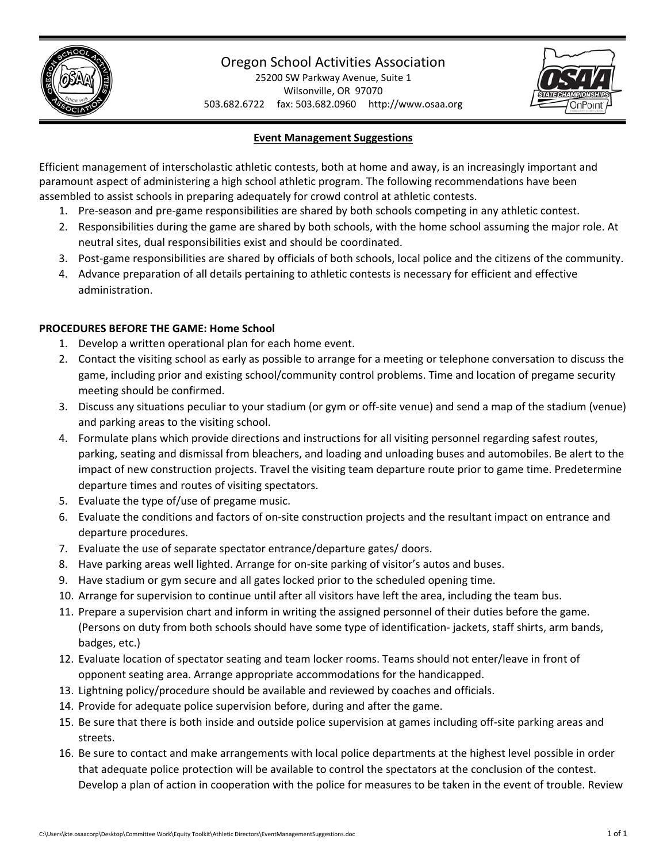

# Oregon School Activities Association

25200 SW Parkway Avenue, Suite 1 Wilsonville, OR 97070 503.682.6722 fax: 503.682.0960 http://www.osaa.org



# **Event Management Suggestions**

Efficient management of interscholastic athletic contests, both at home and away, is an increasingly important and paramount aspect of administering a high school athletic program. The following recommendations have been assembled to assist schools in preparing adequately for crowd control at athletic contests.

- 1. Pre-season and pre-game responsibilities are shared by both schools competing in any athletic contest.
- 2. Responsibilities during the game are shared by both schools, with the home school assuming the major role. At neutral sites, dual responsibilities exist and should be coordinated.
- 3. Post‐game responsibilities are shared by officials of both schools, local police and the citizens of the community.
- 4. Advance preparation of all details pertaining to athletic contests is necessary for efficient and effective administration.

# **PROCEDURES BEFORE THE GAME: Home School**

- 1. Develop a written operational plan for each home event.
- 2. Contact the visiting school as early as possible to arrange for a meeting or telephone conversation to discuss the game, including prior and existing school/community control problems. Time and location of pregame security meeting should be confirmed.
- 3. Discuss any situations peculiar to your stadium (or gym or off‐site venue) and send a map of the stadium (venue) and parking areas to the visiting school.
- 4. Formulate plans which provide directions and instructions for all visiting personnel regarding safest routes, parking, seating and dismissal from bleachers, and loading and unloading buses and automobiles. Be alert to the impact of new construction projects. Travel the visiting team departure route prior to game time. Predetermine departure times and routes of visiting spectators.
- 5. Evaluate the type of/use of pregame music.
- 6. Evaluate the conditions and factors of on‐site construction projects and the resultant impact on entrance and departure procedures.
- 7. Evaluate the use of separate spectator entrance/departure gates/ doors.
- 8. Have parking areas well lighted. Arrange for on-site parking of visitor's autos and buses.
- 9. Have stadium or gym secure and all gates locked prior to the scheduled opening time.
- 10. Arrange for supervision to continue until after all visitors have left the area, including the team bus.
- 11. Prepare a supervision chart and inform in writing the assigned personnel of their duties before the game. (Persons on duty from both schools should have some type of identification‐ jackets, staff shirts, arm bands, badges, etc.)
- 12. Evaluate location of spectator seating and team locker rooms. Teams should not enter/leave in front of opponent seating area. Arrange appropriate accommodations for the handicapped.
- 13. Lightning policy/procedure should be available and reviewed by coaches and officials.
- 14. Provide for adequate police supervision before, during and after the game.
- 15. Be sure that there is both inside and outside police supervision at games including off‐site parking areas and streets.
- 16. Be sure to contact and make arrangements with local police departments at the highest level possible in order that adequate police protection will be available to control the spectators at the conclusion of the contest. Develop a plan of action in cooperation with the police for measures to be taken in the event of trouble. Review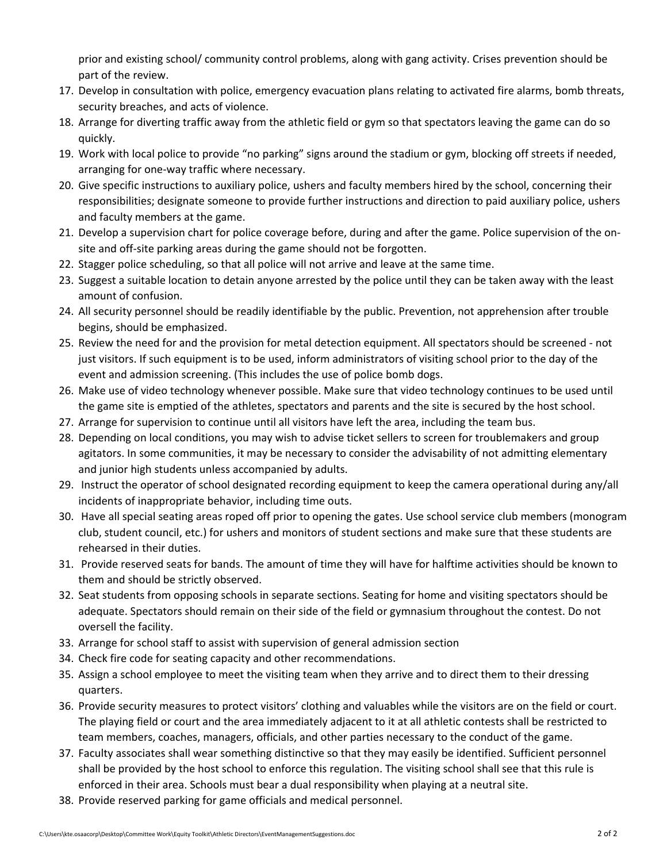prior and existing school/ community control problems, along with gang activity. Crises prevention should be part of the review.

- 17. Develop in consultation with police, emergency evacuation plans relating to activated fire alarms, bomb threats, security breaches, and acts of violence.
- 18. Arrange for diverting traffic away from the athletic field or gym so that spectators leaving the game can do so quickly.
- 19. Work with local police to provide "no parking" signs around the stadium or gym, blocking off streets if needed, arranging for one‐way traffic where necessary.
- 20. Give specific instructions to auxiliary police, ushers and faculty members hired by the school, concerning their responsibilities; designate someone to provide further instructions and direction to paid auxiliary police, ushers and faculty members at the game.
- 21. Develop a supervision chart for police coverage before, during and after the game. Police supervision of the on‐ site and off-site parking areas during the game should not be forgotten.
- 22. Stagger police scheduling, so that all police will not arrive and leave at the same time.
- 23. Suggest a suitable location to detain anyone arrested by the police until they can be taken away with the least amount of confusion.
- 24. All security personnel should be readily identifiable by the public. Prevention, not apprehension after trouble begins, should be emphasized.
- 25. Review the need for and the provision for metal detection equipment. All spectators should be screened ‐ not just visitors. If such equipment is to be used, inform administrators of visiting school prior to the day of the event and admission screening. (This includes the use of police bomb dogs.
- 26. Make use of video technology whenever possible. Make sure that video technology continues to be used until the game site is emptied of the athletes, spectators and parents and the site is secured by the host school.
- 27. Arrange for supervision to continue until all visitors have left the area, including the team bus.
- 28. Depending on local conditions, you may wish to advise ticket sellers to screen for troublemakers and group agitators. In some communities, it may be necessary to consider the advisability of not admitting elementary and junior high students unless accompanied by adults.
- 29. Instruct the operator of school designated recording equipment to keep the camera operational during any/all incidents of inappropriate behavior, including time outs.
- 30. Have all special seating areas roped off prior to opening the gates. Use school service club members (monogram club, student council, etc.) for ushers and monitors of student sections and make sure that these students are rehearsed in their duties.
- 31. Provide reserved seats for bands. The amount of time they will have for halftime activities should be known to them and should be strictly observed.
- 32. Seat students from opposing schools in separate sections. Seating for home and visiting spectators should be adequate. Spectators should remain on their side of the field or gymnasium throughout the contest. Do not oversell the facility.
- 33. Arrange for school staff to assist with supervision of general admission section
- 34. Check fire code for seating capacity and other recommendations.
- 35. Assign a school employee to meet the visiting team when they arrive and to direct them to their dressing quarters.
- 36. Provide security measures to protect visitors' clothing and valuables while the visitors are on the field or court. The playing field or court and the area immediately adjacent to it at all athletic contests shall be restricted to team members, coaches, managers, officials, and other parties necessary to the conduct of the game.
- 37. Faculty associates shall wear something distinctive so that they may easily be identified. Sufficient personnel shall be provided by the host school to enforce this regulation. The visiting school shall see that this rule is enforced in their area. Schools must bear a dual responsibility when playing at a neutral site.
- 38. Provide reserved parking for game officials and medical personnel.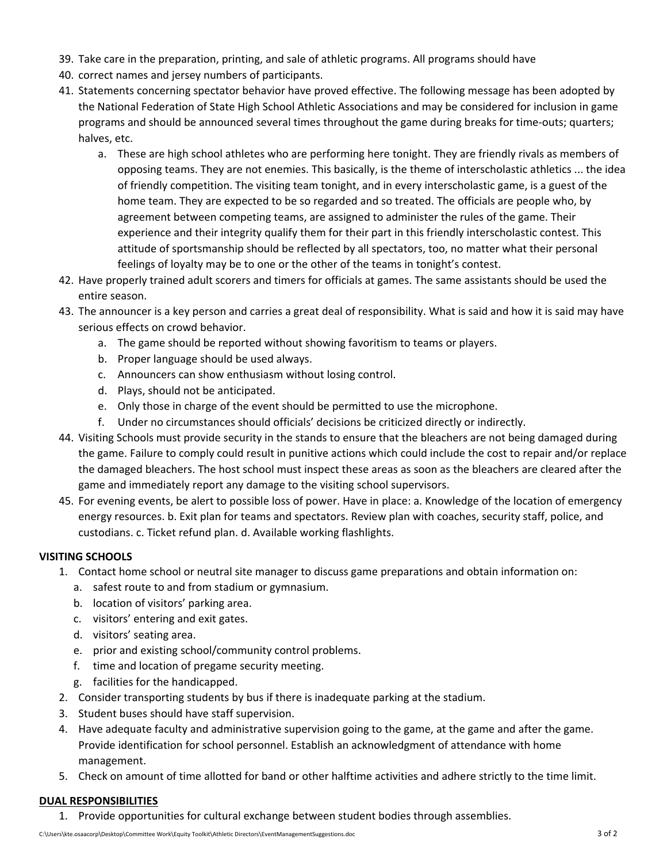- 39. Take care in the preparation, printing, and sale of athletic programs. All programs should have
- 40. correct names and jersey numbers of participants.
- 41. Statements concerning spectator behavior have proved effective. The following message has been adopted by the National Federation of State High School Athletic Associations and may be considered for inclusion in game programs and should be announced several times throughout the game during breaks for time-outs; quarters; halves, etc.
	- a. These are high school athletes who are performing here tonight. They are friendly rivals as members of opposing teams. They are not enemies. This basically, is the theme of interscholastic athletics ... the idea of friendly competition. The visiting team tonight, and in every interscholastic game, is a guest of the home team. They are expected to be so regarded and so treated. The officials are people who, by agreement between competing teams, are assigned to administer the rules of the game. Their experience and their integrity qualify them for their part in this friendly interscholastic contest. This attitude of sportsmanship should be reflected by all spectators, too, no matter what their personal feelings of loyalty may be to one or the other of the teams in tonight's contest.
- 42. Have properly trained adult scorers and timers for officials at games. The same assistants should be used the entire season.
- 43. The announcer is a key person and carries a great deal of responsibility. What is said and how it is said may have serious effects on crowd behavior.
	- a. The game should be reported without showing favoritism to teams or players.
	- b. Proper language should be used always.
	- c. Announcers can show enthusiasm without losing control.
	- d. Plays, should not be anticipated.
	- e. Only those in charge of the event should be permitted to use the microphone.
	- f. Under no circumstances should officials' decisions be criticized directly or indirectly.
- 44. Visiting Schools must provide security in the stands to ensure that the bleachers are not being damaged during the game. Failure to comply could result in punitive actions which could include the cost to repair and/or replace the damaged bleachers. The host school must inspect these areas as soon as the bleachers are cleared after the game and immediately report any damage to the visiting school supervisors.
- 45. For evening events, be alert to possible loss of power. Have in place: a. Knowledge of the location of emergency energy resources. b. Exit plan for teams and spectators. Review plan with coaches, security staff, police, and custodians. c. Ticket refund plan. d. Available working flashlights.

## **VISITING SCHOOLS**

- 1. Contact home school or neutral site manager to discuss game preparations and obtain information on:
	- a. safest route to and from stadium or gymnasium.
	- b. location of visitors' parking area.
	- c. visitors' entering and exit gates.
	- d. visitors' seating area.
	- e. prior and existing school/community control problems.
	- f. time and location of pregame security meeting.
	- g. facilities for the handicapped.
- 2. Consider transporting students by bus if there is inadequate parking at the stadium.
- 3. Student buses should have staff supervision.
- 4. Have adequate faculty and administrative supervision going to the game, at the game and after the game. Provide identification for school personnel. Establish an acknowledgment of attendance with home management.
- 5. Check on amount of time allotted for band or other halftime activities and adhere strictly to the time limit.

## **DUAL RESPONSIBILITIES**

1. Provide opportunities for cultural exchange between student bodies through assemblies.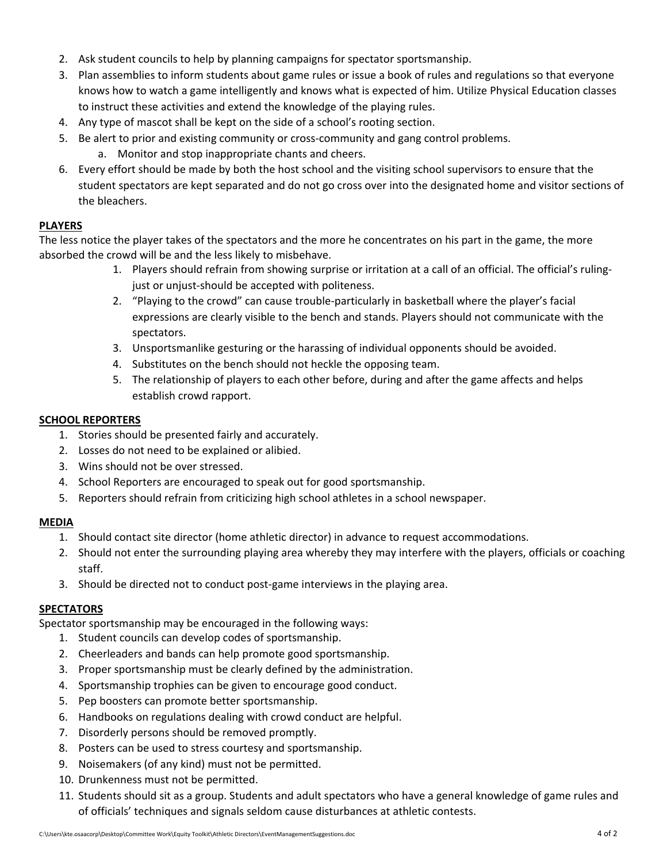- 2. Ask student councils to help by planning campaigns for spectator sportsmanship.
- 3. Plan assemblies to inform students about game rules or issue a book of rules and regulations so that everyone knows how to watch a game intelligently and knows what is expected of him. Utilize Physical Education classes to instruct these activities and extend the knowledge of the playing rules.
- 4. Any type of mascot shall be kept on the side of a school's rooting section.
- 5. Be alert to prior and existing community or cross-community and gang control problems.
	- a. Monitor and stop inappropriate chants and cheers.
- 6. Every effort should be made by both the host school and the visiting school supervisors to ensure that the student spectators are kept separated and do not go cross over into the designated home and visitor sections of the bleachers.

## **PLAYERS**

The less notice the player takes of the spectators and the more he concentrates on his part in the game, the more absorbed the crowd will be and the less likely to misbehave.

- 1. Players should refrain from showing surprise or irritation at a call of an official. The official's ruling‐ just or unjust-should be accepted with politeness.
- 2. "Playing to the crowd" can cause trouble-particularly in basketball where the player's facial expressions are clearly visible to the bench and stands. Players should not communicate with the spectators.
- 3. Unsportsmanlike gesturing or the harassing of individual opponents should be avoided.
- 4. Substitutes on the bench should not heckle the opposing team.
- 5. The relationship of players to each other before, during and after the game affects and helps establish crowd rapport.

## **SCHOOL REPORTERS**

- 1. Stories should be presented fairly and accurately.
- 2. Losses do not need to be explained or alibied.
- 3. Wins should not be over stressed.
- 4. School Reporters are encouraged to speak out for good sportsmanship.
- 5. Reporters should refrain from criticizing high school athletes in a school newspaper.

## **MEDIA**

- 1. Should contact site director (home athletic director) in advance to request accommodations.
- 2. Should not enter the surrounding playing area whereby they may interfere with the players, officials or coaching staff.
- 3. Should be directed not to conduct post‐game interviews in the playing area.

# **SPECTATORS**

Spectator sportsmanship may be encouraged in the following ways:

- 1. Student councils can develop codes of sportsmanship.
- 2. Cheerleaders and bands can help promote good sportsmanship.
- 3. Proper sportsmanship must be clearly defined by the administration.
- 4. Sportsmanship trophies can be given to encourage good conduct.
- 5. Pep boosters can promote better sportsmanship.
- 6. Handbooks on regulations dealing with crowd conduct are helpful.
- 7. Disorderly persons should be removed promptly.
- 8. Posters can be used to stress courtesy and sportsmanship.
- 9. Noisemakers (of any kind) must not be permitted.
- 10. Drunkenness must not be permitted.
- 11. Students should sit as a group. Students and adult spectators who have a general knowledge of game rules and of officials' techniques and signals seldom cause disturbances at athletic contests.